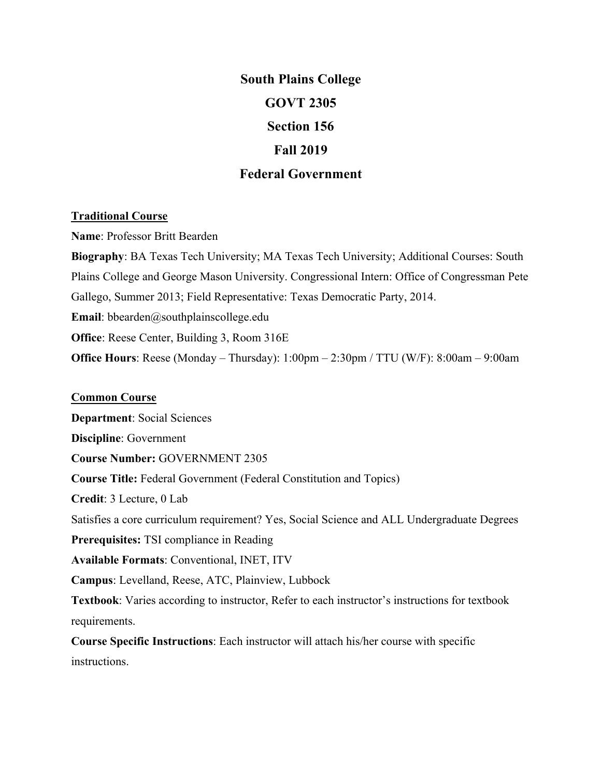# **South Plains College GOVT 2305 Section 156 Fall 2019 Federal Government**

#### **Traditional Course**

**Name**: Professor Britt Bearden **Biography**: BA Texas Tech University; MA Texas Tech University; Additional Courses: South Plains College and George Mason University. Congressional Intern: Office of Congressman Pete Gallego, Summer 2013; Field Representative: Texas Democratic Party, 2014. **Email**: bbearden@southplainscollege.edu **Office**: Reese Center, Building 3, Room 316E **Office Hours**: Reese (Monday – Thursday): 1:00pm – 2:30pm / TTU (W/F): 8:00am – 9:00am

#### **Common Course**

**Department**: Social Sciences **Discipline**: Government **Course Number:** GOVERNMENT 2305 **Course Title:** Federal Government (Federal Constitution and Topics) **Credit**: 3 Lecture, 0 Lab Satisfies a core curriculum requirement? Yes, Social Science and ALL Undergraduate Degrees **Prerequisites:** TSI compliance in Reading **Available Formats**: Conventional, INET, ITV **Campus**: Levelland, Reese, ATC, Plainview, Lubbock **Textbook**: Varies according to instructor, Refer to each instructor's instructions for textbook requirements. **Course Specific Instructions**: Each instructor will attach his/her course with specific instructions.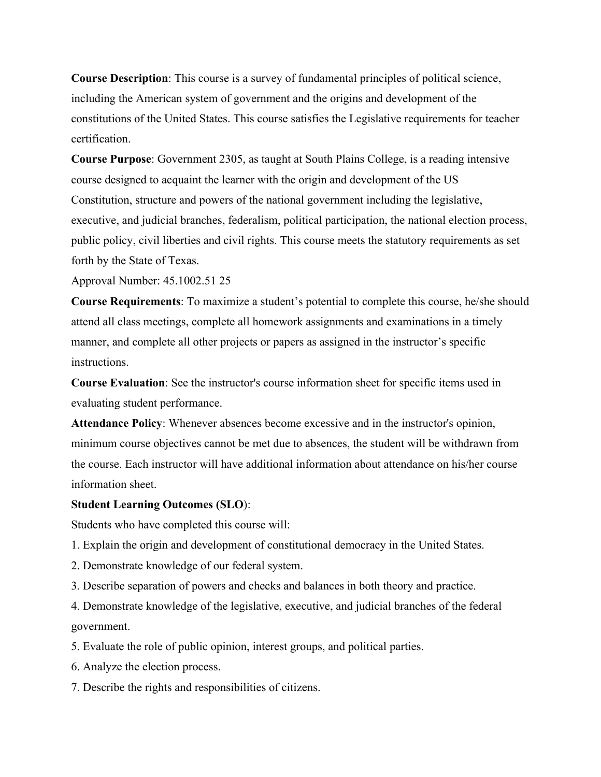**Course Description**: This course is a survey of fundamental principles of political science, including the American system of government and the origins and development of the constitutions of the United States. This course satisfies the Legislative requirements for teacher certification.

**Course Purpose**: Government 2305, as taught at South Plains College, is a reading intensive course designed to acquaint the learner with the origin and development of the US Constitution, structure and powers of the national government including the legislative, executive, and judicial branches, federalism, political participation, the national election process, public policy, civil liberties and civil rights. This course meets the statutory requirements as set forth by the State of Texas.

Approval Number: 45.1002.51 25

**Course Requirements**: To maximize a student's potential to complete this course, he/she should attend all class meetings, complete all homework assignments and examinations in a timely manner, and complete all other projects or papers as assigned in the instructor's specific instructions.

**Course Evaluation**: See the instructor's course information sheet for specific items used in evaluating student performance.

**Attendance Policy**: Whenever absences become excessive and in the instructor's opinion, minimum course objectives cannot be met due to absences, the student will be withdrawn from the course. Each instructor will have additional information about attendance on his/her course information sheet.

#### **Student Learning Outcomes (SLO**):

Students who have completed this course will:

- 1. Explain the origin and development of constitutional democracy in the United States.
- 2. Demonstrate knowledge of our federal system.
- 3. Describe separation of powers and checks and balances in both theory and practice.

4. Demonstrate knowledge of the legislative, executive, and judicial branches of the federal government.

5. Evaluate the role of public opinion, interest groups, and political parties.

- 6. Analyze the election process.
- 7. Describe the rights and responsibilities of citizens.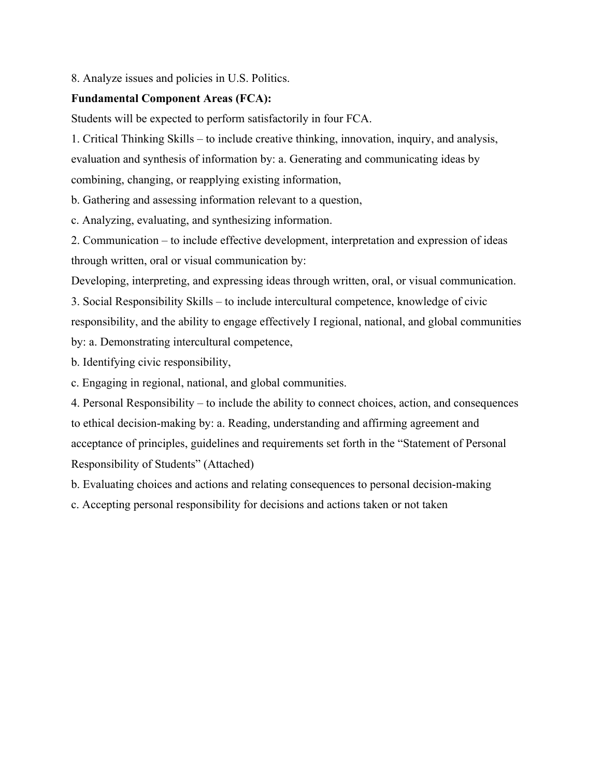8. Analyze issues and policies in U.S. Politics.

# **Fundamental Component Areas (FCA):**

Students will be expected to perform satisfactorily in four FCA.

1. Critical Thinking Skills – to include creative thinking, innovation, inquiry, and analysis, evaluation and synthesis of information by: a. Generating and communicating ideas by combining, changing, or reapplying existing information,

b. Gathering and assessing information relevant to a question,

c. Analyzing, evaluating, and synthesizing information.

2. Communication – to include effective development, interpretation and expression of ideas through written, oral or visual communication by:

Developing, interpreting, and expressing ideas through written, oral, or visual communication.

3. Social Responsibility Skills – to include intercultural competence, knowledge of civic responsibility, and the ability to engage effectively I regional, national, and global communities by: a. Demonstrating intercultural competence,

b. Identifying civic responsibility,

c. Engaging in regional, national, and global communities.

4. Personal Responsibility – to include the ability to connect choices, action, and consequences to ethical decision-making by: a. Reading, understanding and affirming agreement and acceptance of principles, guidelines and requirements set forth in the "Statement of Personal Responsibility of Students" (Attached)

b. Evaluating choices and actions and relating consequences to personal decision-making

c. Accepting personal responsibility for decisions and actions taken or not taken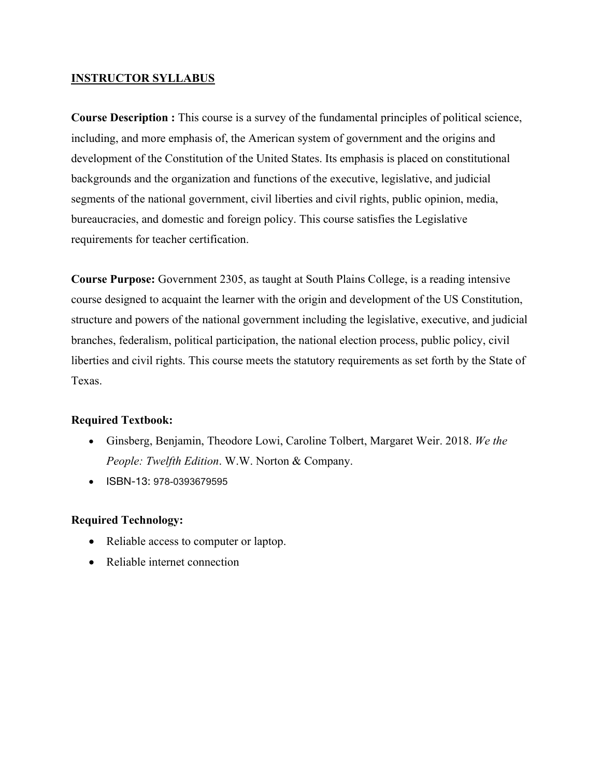### **INSTRUCTOR SYLLABUS**

**Course Description :** This course is a survey of the fundamental principles of political science, including, and more emphasis of, the American system of government and the origins and development of the Constitution of the United States. Its emphasis is placed on constitutional backgrounds and the organization and functions of the executive, legislative, and judicial segments of the national government, civil liberties and civil rights, public opinion, media, bureaucracies, and domestic and foreign policy. This course satisfies the Legislative requirements for teacher certification.

**Course Purpose:** Government 2305, as taught at South Plains College, is a reading intensive course designed to acquaint the learner with the origin and development of the US Constitution, structure and powers of the national government including the legislative, executive, and judicial branches, federalism, political participation, the national election process, public policy, civil liberties and civil rights. This course meets the statutory requirements as set forth by the State of Texas.

# **Required Textbook:**

- Ginsberg, Benjamin, Theodore Lowi, Caroline Tolbert, Margaret Weir. 2018. *We the People: Twelfth Edition*. W.W. Norton & Company.
- ISBN-13: 978-0393679595

#### **Required Technology:**

- Reliable access to computer or laptop.
- Reliable internet connection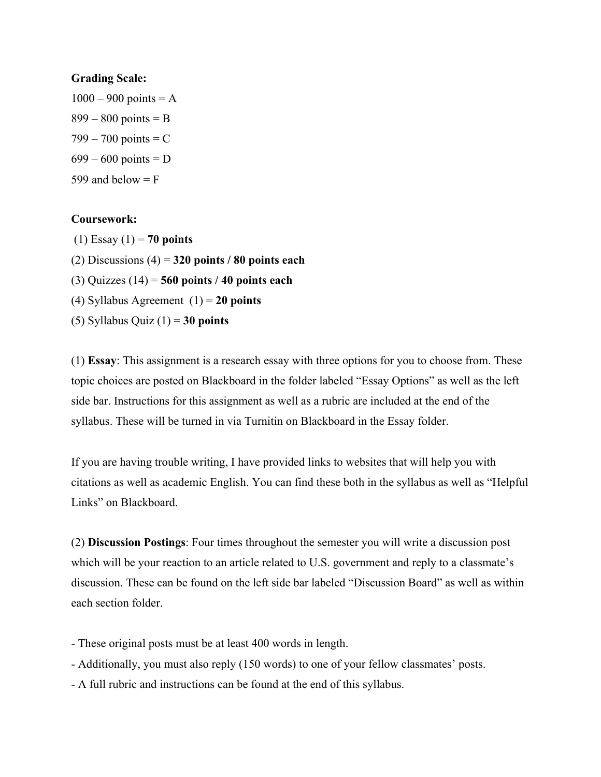#### **Grading Scale:**

 $1000 - 900$  points = A  $899 - 800$  points = B  $799 - 700$  points = C  $699 - 600$  points = D 599 and below  $=$  F

# **Coursework:**

- (1) Essay (1) = **70 points**
- (2) Discussions (4) = **320 points / 80 points each**
- (3) Quizzes (14) = **560 points / 40 points each**
- (4) Syllabus Agreement (1) = **20 points**
- (5) Syllabus Quiz (1) = **30 points**

(1) **Essay**: This assignment is a research essay with three options for you to choose from. These topic choices are posted on Blackboard in the folder labeled "Essay Options" as well as the left side bar. Instructions for this assignment as well as a rubric are included at the end of the syllabus. These will be turned in via Turnitin on Blackboard in the Essay folder.

If you are having trouble writing, I have provided links to websites that will help you with citations as well as academic English. You can find these both in the syllabus as well as "Helpful Links" on Blackboard.

(2) **Discussion Postings**: Four times throughout the semester you will write a discussion post which will be your reaction to an article related to U.S. government and reply to a classmate's discussion. These can be found on the left side bar labeled "Discussion Board" as well as within each section folder.

- These original posts must be at least 400 words in length.
- Additionally, you must also reply (150 words) to one of your fellow classmates' posts.
- A full rubric and instructions can be found at the end of this syllabus.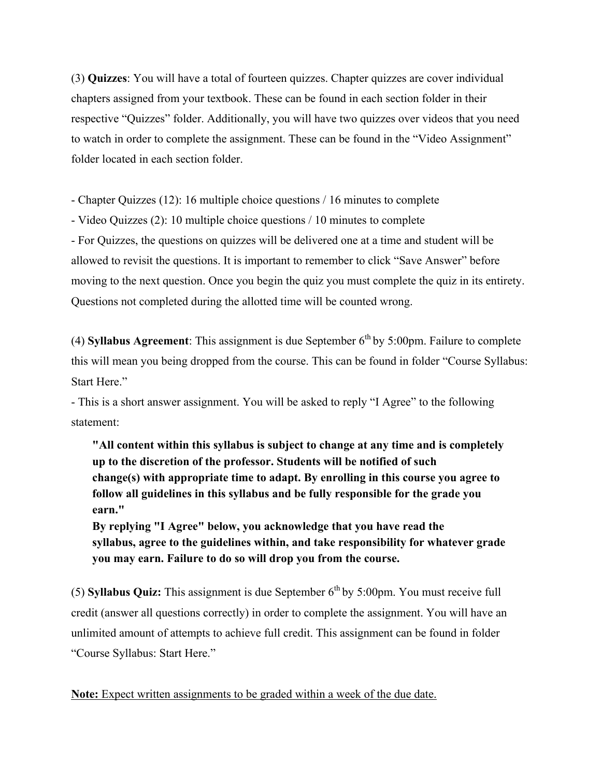(3) **Quizzes**: You will have a total of fourteen quizzes. Chapter quizzes are cover individual chapters assigned from your textbook. These can be found in each section folder in their respective "Quizzes" folder. Additionally, you will have two quizzes over videos that you need to watch in order to complete the assignment. These can be found in the "Video Assignment" folder located in each section folder.

- Chapter Quizzes (12): 16 multiple choice questions / 16 minutes to complete

- Video Quizzes (2): 10 multiple choice questions / 10 minutes to complete

- For Quizzes, the questions on quizzes will be delivered one at a time and student will be allowed to revisit the questions. It is important to remember to click "Save Answer" before moving to the next question. Once you begin the quiz you must complete the quiz in its entirety. Questions not completed during the allotted time will be counted wrong.

(4) **Syllabus Agreement**: This assignment is due September  $6<sup>th</sup>$  by 5:00pm. Failure to complete this will mean you being dropped from the course. This can be found in folder "Course Syllabus: Start Here."

- This is a short answer assignment. You will be asked to reply "I Agree" to the following statement:

**"All content within this syllabus is subject to change at any time and is completely up to the discretion of the professor. Students will be notified of such change(s) with appropriate time to adapt. By enrolling in this course you agree to follow all guidelines in this syllabus and be fully responsible for the grade you earn."**

**By replying "I Agree" below, you acknowledge that you have read the syllabus, agree to the guidelines within, and take responsibility for whatever grade you may earn. Failure to do so will drop you from the course.**

(5) **Syllabus Quiz:** This assignment is due September  $6<sup>th</sup>$  by 5:00pm. You must receive full credit (answer all questions correctly) in order to complete the assignment. You will have an unlimited amount of attempts to achieve full credit. This assignment can be found in folder "Course Syllabus: Start Here."

**Note:** Expect written assignments to be graded within a week of the due date.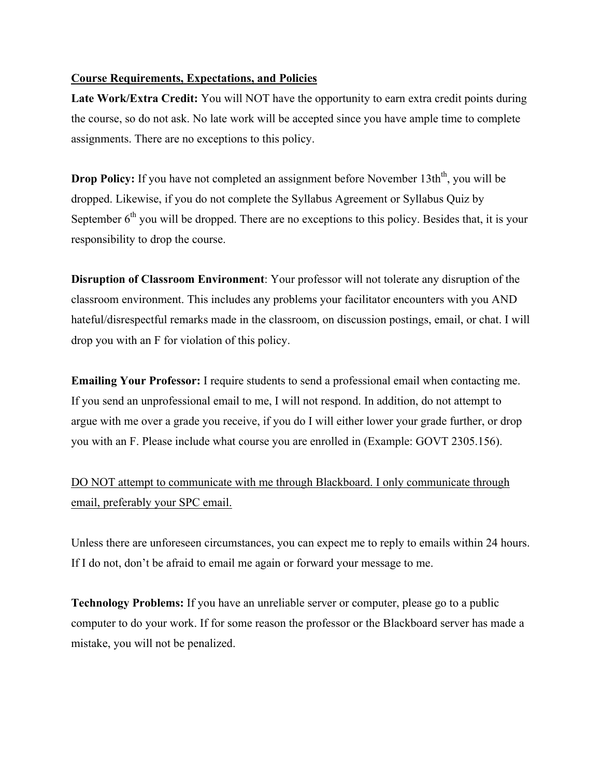### **Course Requirements, Expectations, and Policies**

**Late Work/Extra Credit:** You will NOT have the opportunity to earn extra credit points during the course, so do not ask. No late work will be accepted since you have ample time to complete assignments. There are no exceptions to this policy.

**Drop Policy:** If you have not completed an assignment before November 13th<sup>th</sup>, you will be dropped. Likewise, if you do not complete the Syllabus Agreement or Syllabus Quiz by September  $6<sup>th</sup>$  you will be dropped. There are no exceptions to this policy. Besides that, it is your responsibility to drop the course.

**Disruption of Classroom Environment**: Your professor will not tolerate any disruption of the classroom environment. This includes any problems your facilitator encounters with you AND hateful/disrespectful remarks made in the classroom, on discussion postings, email, or chat. I will drop you with an F for violation of this policy.

**Emailing Your Professor:** I require students to send a professional email when contacting me. If you send an unprofessional email to me, I will not respond. In addition, do not attempt to argue with me over a grade you receive, if you do I will either lower your grade further, or drop you with an F. Please include what course you are enrolled in (Example: GOVT 2305.156).

# DO NOT attempt to communicate with me through Blackboard. I only communicate through email, preferably your SPC email.

Unless there are unforeseen circumstances, you can expect me to reply to emails within 24 hours. If I do not, don't be afraid to email me again or forward your message to me.

**Technology Problems:** If you have an unreliable server or computer, please go to a public computer to do your work. If for some reason the professor or the Blackboard server has made a mistake, you will not be penalized.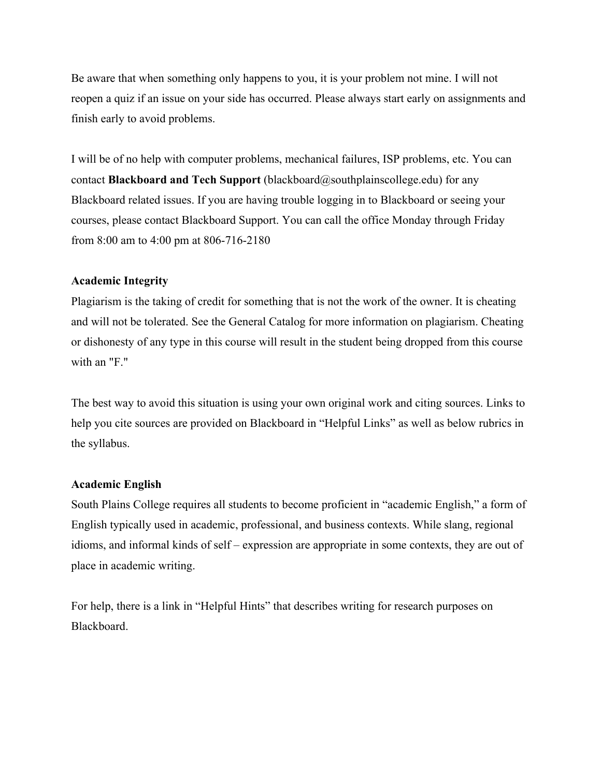Be aware that when something only happens to you, it is your problem not mine. I will not reopen a quiz if an issue on your side has occurred. Please always start early on assignments and finish early to avoid problems.

I will be of no help with computer problems, mechanical failures, ISP problems, etc. You can contact **Blackboard and Tech Support** (blackboard@southplainscollege.edu) for any Blackboard related issues. If you are having trouble logging in to Blackboard or seeing your courses, please contact Blackboard Support. You can call the office Monday through Friday from 8:00 am to 4:00 pm at 806-716-2180

# **Academic Integrity**

Plagiarism is the taking of credit for something that is not the work of the owner. It is cheating and will not be tolerated. See the General Catalog for more information on plagiarism. Cheating or dishonesty of any type in this course will result in the student being dropped from this course with an "F."

The best way to avoid this situation is using your own original work and citing sources. Links to help you cite sources are provided on Blackboard in "Helpful Links" as well as below rubrics in the syllabus.

#### **Academic English**

South Plains College requires all students to become proficient in "academic English," a form of English typically used in academic, professional, and business contexts. While slang, regional idioms, and informal kinds of self – expression are appropriate in some contexts, they are out of place in academic writing.

For help, there is a link in "Helpful Hints" that describes writing for research purposes on Blackboard.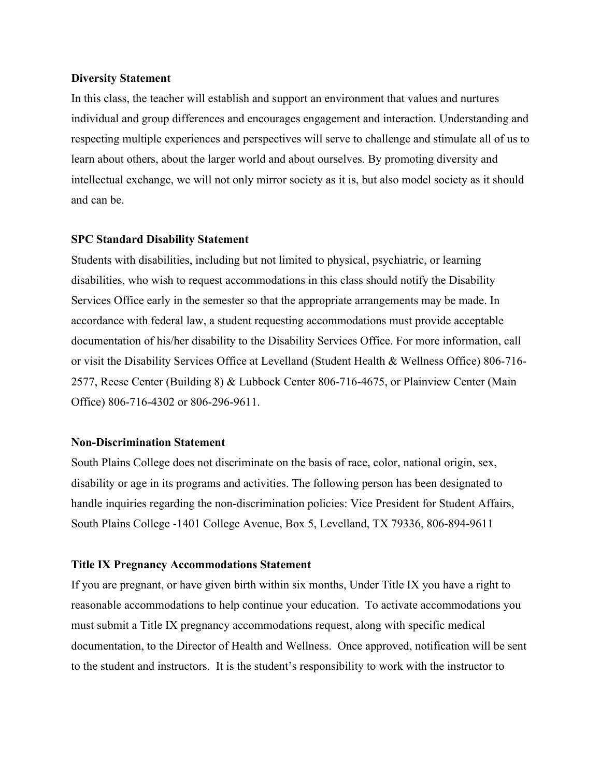#### **Diversity Statement**

In this class, the teacher will establish and support an environment that values and nurtures individual and group differences and encourages engagement and interaction. Understanding and respecting multiple experiences and perspectives will serve to challenge and stimulate all of us to learn about others, about the larger world and about ourselves. By promoting diversity and intellectual exchange, we will not only mirror society as it is, but also model society as it should and can be.

#### **SPC Standard Disability Statement**

Students with disabilities, including but not limited to physical, psychiatric, or learning disabilities, who wish to request accommodations in this class should notify the Disability Services Office early in the semester so that the appropriate arrangements may be made. In accordance with federal law, a student requesting accommodations must provide acceptable documentation of his/her disability to the Disability Services Office. For more information, call or visit the Disability Services Office at Levelland (Student Health & Wellness Office) 806-716- 2577, Reese Center (Building 8) & Lubbock Center 806-716-4675, or Plainview Center (Main Office) 806-716-4302 or 806-296-9611.

#### **Non-Discrimination Statement**

South Plains College does not discriminate on the basis of race, color, national origin, sex, disability or age in its programs and activities. The following person has been designated to handle inquiries regarding the non-discrimination policies: Vice President for Student Affairs, South Plains College -1401 College Avenue, Box 5, Levelland, TX 79336, 806-894-9611

#### **Title IX Pregnancy Accommodations Statement**

If you are pregnant, or have given birth within six months, Under Title IX you have a right to reasonable accommodations to help continue your education. To activate accommodations you must submit a Title IX pregnancy accommodations request, along with specific medical documentation, to the Director of Health and Wellness. Once approved, notification will be sent to the student and instructors. It is the student's responsibility to work with the instructor to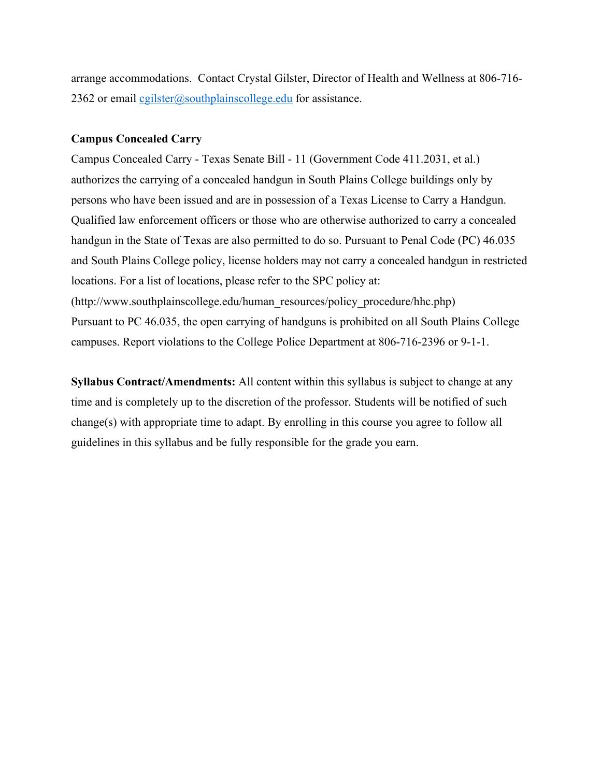arrange accommodations. Contact Crystal Gilster, Director of Health and Wellness at 806-716- 2362 or email cgilster@southplainscollege.edu for assistance.

#### **Campus Concealed Carry**

Campus Concealed Carry - Texas Senate Bill - 11 (Government Code 411.2031, et al.) authorizes the carrying of a concealed handgun in South Plains College buildings only by persons who have been issued and are in possession of a Texas License to Carry a Handgun. Qualified law enforcement officers or those who are otherwise authorized to carry a concealed handgun in the State of Texas are also permitted to do so. Pursuant to Penal Code (PC) 46.035 and South Plains College policy, license holders may not carry a concealed handgun in restricted locations. For a list of locations, please refer to the SPC policy at: (http://www.southplainscollege.edu/human\_resources/policy\_procedure/hhc.php) Pursuant to PC 46.035, the open carrying of handguns is prohibited on all South Plains College campuses. Report violations to the College Police Department at 806-716-2396 or 9-1-1.

**Syllabus Contract/Amendments:** All content within this syllabus is subject to change at any time and is completely up to the discretion of the professor. Students will be notified of such change(s) with appropriate time to adapt. By enrolling in this course you agree to follow all guidelines in this syllabus and be fully responsible for the grade you earn.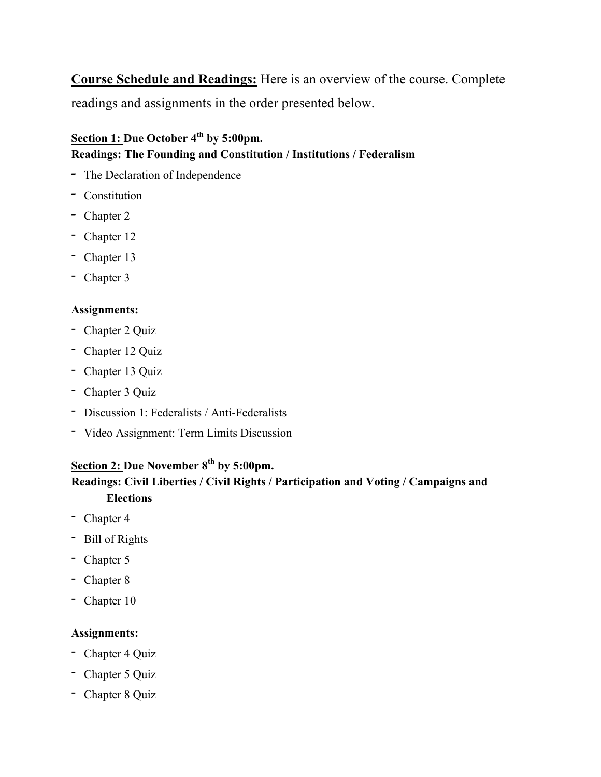**Course Schedule and Readings:** Here is an overview of the course. Complete readings and assignments in the order presented below.

# **Section 1: Due October 4th by 5:00pm. Readings: The Founding and Constitution / Institutions / Federalism**

- *-* The Declaration of Independence
- *-* Constitution
- *-* Chapter 2
- Chapter 12
- Chapter 13
- Chapter 3

# **Assignments:**

- Chapter 2 Quiz
- Chapter 12 Quiz
- Chapter 13 Quiz
- Chapter 3 Quiz
- Discussion 1: Federalists / Anti-Federalists
- Video Assignment: Term Limits Discussion

# **Section 2: Due November 8th by 5:00pm.**

# **Readings: Civil Liberties / Civil Rights / Participation and Voting / Campaigns and Elections**

- Chapter 4
- Bill of Rights
- Chapter 5
- Chapter 8
- Chapter 10

# **Assignments:**

- Chapter 4 Quiz
- Chapter 5 Quiz
- Chapter 8 Quiz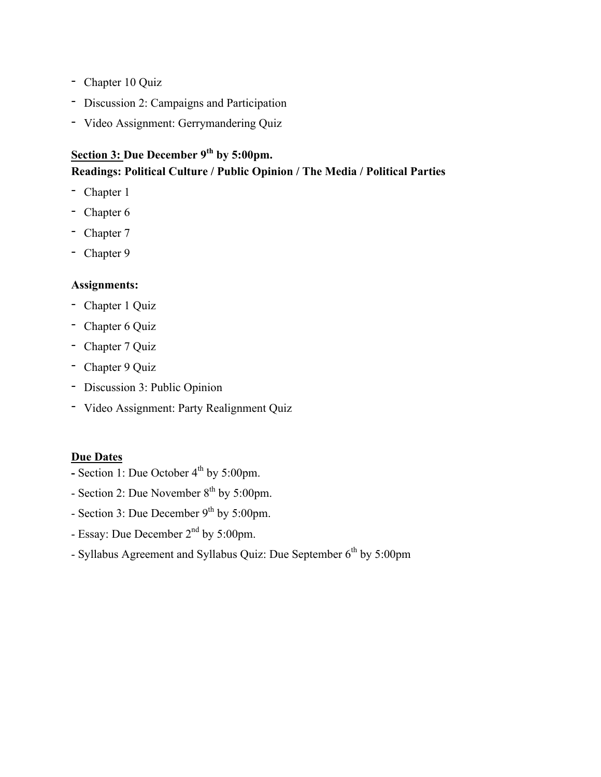- Chapter 10 Quiz
- Discussion 2: Campaigns and Participation
- Video Assignment: Gerrymandering Quiz

# **Section 3: Due December 9th by 5:00pm. Readings: Political Culture / Public Opinion / The Media / Political Parties**

- Chapter 1
- Chapter 6
- Chapter 7
- Chapter 9

# **Assignments:**

- Chapter 1 Quiz
- Chapter 6 Quiz
- Chapter 7 Quiz
- Chapter 9 Quiz
- Discussion 3: Public Opinion
- Video Assignment: Party Realignment Quiz

# **Due Dates**

- **-** Section 1: Due October  $4^{th}$  by 5:00pm.
- Section 2: Due November 8<sup>th</sup> by 5:00pm.
- Section 3: Due December 9<sup>th</sup> by 5:00pm.
- Essay: Due December 2<sup>nd</sup> by 5:00pm.
- Syllabus Agreement and Syllabus Quiz: Due September 6<sup>th</sup> by 5:00pm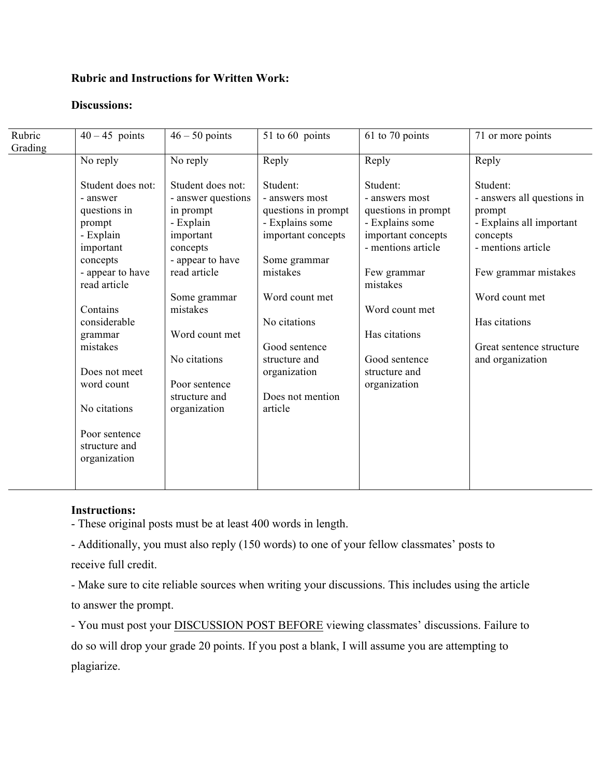### **Rubric and Instructions for Written Work:**

#### **Discussions:**

| Rubric<br>Grading | $40 - 45$ points                                                                                                                                                                                                                                                      | $46 - 50$ points                                                                                                                                                                                                                               | 51 to 60 points                                                                                                                                                                                                                           | 61 to 70 points                                                                                                                                                                                                                  | 71 or more points                                                                                                                                                                                                         |
|-------------------|-----------------------------------------------------------------------------------------------------------------------------------------------------------------------------------------------------------------------------------------------------------------------|------------------------------------------------------------------------------------------------------------------------------------------------------------------------------------------------------------------------------------------------|-------------------------------------------------------------------------------------------------------------------------------------------------------------------------------------------------------------------------------------------|----------------------------------------------------------------------------------------------------------------------------------------------------------------------------------------------------------------------------------|---------------------------------------------------------------------------------------------------------------------------------------------------------------------------------------------------------------------------|
|                   | No reply                                                                                                                                                                                                                                                              | No reply                                                                                                                                                                                                                                       | Reply                                                                                                                                                                                                                                     | Reply                                                                                                                                                                                                                            | Reply                                                                                                                                                                                                                     |
|                   | Student does not:<br>- answer<br>questions in<br>prompt<br>- Explain<br>important<br>concepts<br>- appear to have<br>read article<br>Contains<br>considerable<br>grammar<br>mistakes<br>Does not meet<br>word count<br>No citations<br>Poor sentence<br>structure and | Student does not:<br>- answer questions<br>in prompt<br>- Explain<br>important<br>concepts<br>- appear to have<br>read article<br>Some grammar<br>mistakes<br>Word count met<br>No citations<br>Poor sentence<br>structure and<br>organization | Student:<br>- answers most<br>questions in prompt<br>- Explains some<br>important concepts<br>Some grammar<br>mistakes<br>Word count met<br>No citations<br>Good sentence<br>structure and<br>organization<br>Does not mention<br>article | Student:<br>- answers most<br>questions in prompt<br>- Explains some<br>important concepts<br>- mentions article<br>Few grammar<br>mistakes<br>Word count met<br>Has citations<br>Good sentence<br>structure and<br>organization | Student:<br>- answers all questions in<br>prompt<br>- Explains all important<br>concepts<br>- mentions article<br>Few grammar mistakes<br>Word count met<br>Has citations<br>Great sentence structure<br>and organization |
|                   | organization                                                                                                                                                                                                                                                          |                                                                                                                                                                                                                                                |                                                                                                                                                                                                                                           |                                                                                                                                                                                                                                  |                                                                                                                                                                                                                           |

#### **Instructions:**

- These original posts must be at least 400 words in length.

- Additionally, you must also reply (150 words) to one of your fellow classmates' posts to receive full credit.

- Make sure to cite reliable sources when writing your discussions. This includes using the article to answer the prompt.

- You must post your DISCUSSION POST BEFORE viewing classmates' discussions. Failure to do so will drop your grade 20 points. If you post a blank, I will assume you are attempting to plagiarize.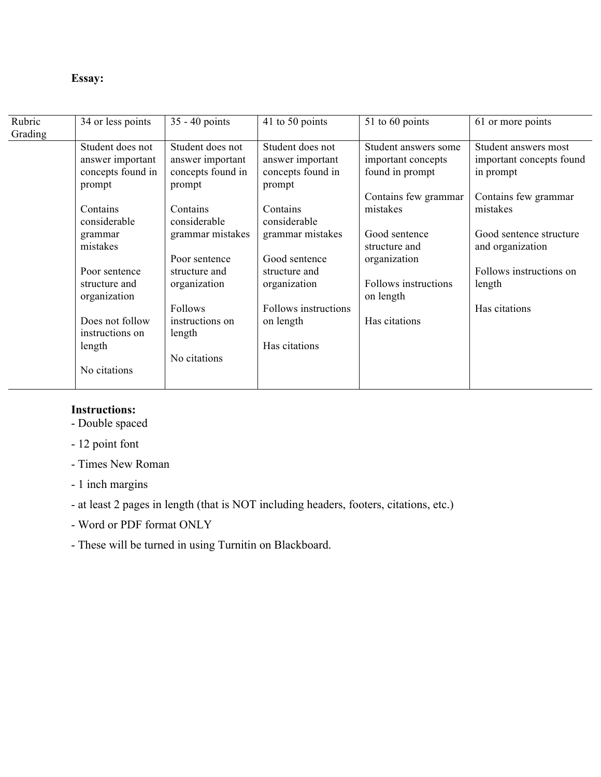# **Essay:**

| Rubric  | 34 or less points | $35 - 40$ points  | 41 to 50 points      | 51 to 60 points      | 61 or more points        |
|---------|-------------------|-------------------|----------------------|----------------------|--------------------------|
| Grading |                   |                   |                      |                      |                          |
|         | Student does not  | Student does not  | Student does not     | Student answers some | Student answers most     |
|         | answer important  | answer important  | answer important     | important concepts   | important concepts found |
|         | concepts found in | concepts found in | concepts found in    | found in prompt      | in prompt                |
|         | prompt            | prompt            | prompt               |                      |                          |
|         |                   |                   |                      | Contains few grammar | Contains few grammar     |
|         | Contains          | Contains          | Contains             | mistakes             | mistakes                 |
|         | considerable      | considerable      | considerable         |                      |                          |
|         | grammar           | grammar mistakes  | grammar mistakes     | Good sentence        | Good sentence structure  |
|         | mistakes          |                   |                      | structure and        | and organization         |
|         |                   | Poor sentence     | Good sentence        | organization         |                          |
|         | Poor sentence     | structure and     | structure and        |                      | Follows instructions on  |
|         | structure and     | organization      | organization         | Follows instructions | length                   |
|         | organization      |                   |                      | on length            |                          |
|         |                   | Follows           | Follows instructions |                      | Has citations            |
|         | Does not follow   | instructions on   | on length            | Has citations        |                          |
|         | instructions on   | length            |                      |                      |                          |
|         | length            |                   | Has citations        |                      |                          |
|         |                   | No citations      |                      |                      |                          |
|         | No citations      |                   |                      |                      |                          |
|         |                   |                   |                      |                      |                          |

# **Instructions:**

- Double spaced
- 12 point font
- Times New Roman
- 1 inch margins
- at least 2 pages in length (that is NOT including headers, footers, citations, etc.)
- Word or PDF format ONLY
- These will be turned in using Turnitin on Blackboard.